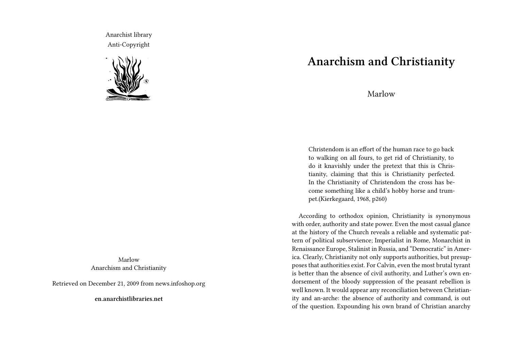Anarchist library Anti-Copyright



Marlow Anarchism and Christianity

Retrieved on December 21, 2009 from news.infoshop.org

**en.anarchistlibraries.net**

## **Anarchism and Christianity**

Marlow

Christendom is an effort of the human race to go back to walking on all fours, to get rid of Christianity, to do it knavishly under the pretext that this is Christianity, claiming that this is Christianity perfected. In the Christianity of Christendom the cross has become something like a child's hobby horse and trumpet.(Kierkegaard, 1968, p260)

According to orthodox opinion, Christianity is synonymous with order, authority and state power. Even the most casual glance at the history of the Church reveals a reliable and systematic pattern of political subservience; Imperialist in Rome, Monarchist in Renaissance Europe, Stalinist in Russia, and "Democratic" in America. Clearly, Christianity not only supports authorities, but presupposes that authorities exist. For Calvin, even the most brutal tyrant is better than the absence of civil authority, and Luther's own endorsement of the bloody suppression of the peasant rebellion is well known. It would appear any reconciliation between Christianity and an-arche: the absence of authority and command, is out of the question. Expounding his own brand of Christian anarchy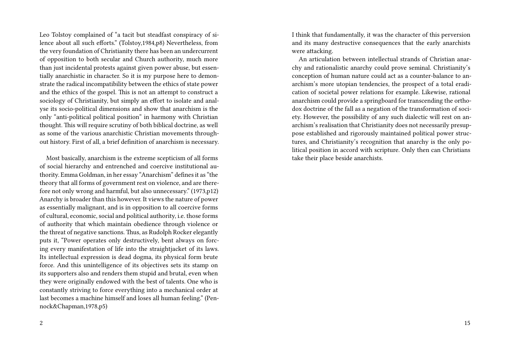Leo Tolstoy complained of "a tacit but steadfast conspiracy of silence about all such efforts." (Tolstoy,1984,p8) Nevertheless, from the very foundation of Christianity there has been an undercurrent of opposition to both secular and Church authority, much more than just incidental protests against given power abuse, but essentially anarchistic in character. So it is my purpose here to demonstrate the radical incompatibility between the ethics of state power and the ethics of the gospel. This is not an attempt to construct a sociology of Christianity, but simply an effort to isolate and analyse its socio-political dimensions and show that anarchism is the only "anti-political political position" in harmony with Christian thought. This will require scrutiny of both biblical doctrine, as well as some of the various anarchistic Christian movements throughout history. First of all, a brief definition of anarchism is necessary.

Most basically, anarchism is the extreme scepticism of all forms of social hierarchy and entrenched and coercive institutional authority. Emma Goldman, in her essay "Anarchism" defines it as "the theory that all forms of government rest on violence, and are therefore not only wrong and harmful, but also unnecessary." (1973,p12) Anarchy is broader than this however. It views the nature of power as essentially malignant, and is in opposition to all coercive forms of cultural, economic, social and political authority, i.e. those forms of authority that which maintain obedience through violence or the threat of negative sanctions. Thus, as Rudolph Rocker elegantly puts it, "Power operates only destructively, bent always on forcing every manifestation of life into the straightjacket of its laws. Its intellectual expression is dead dogma, its physical form brute force. And this unintelligence of its objectives sets its stamp on its supporters also and renders them stupid and brutal, even when they were originally endowed with the best of talents. One who is constantly striving to force everything into a mechanical order at last becomes a machine himself and loses all human feeling." (Pennock&Chapman,1978,p5)

I think that fundamentally, it was the character of this perversion and its many destructive consequences that the early anarchists were attacking.

An articulation between intellectual strands of Christian anarchy and rationalistic anarchy could prove seminal. Christianity's conception of human nature could act as a counter-balance to anarchism's more utopian tendencies, the prospect of a total eradication of societal power relations for example. Likewise, rational anarchism could provide a springboard for transcending the orthodox doctrine of the fall as a negation of the transformation of society. However, the possibility of any such dialectic will rest on anarchism's realisation that Christianity does not necessarily presuppose established and rigorously maintained political power structures, and Christianity's recognition that anarchy is the only political position in accord with scripture. Only then can Christians take their place beside anarchists.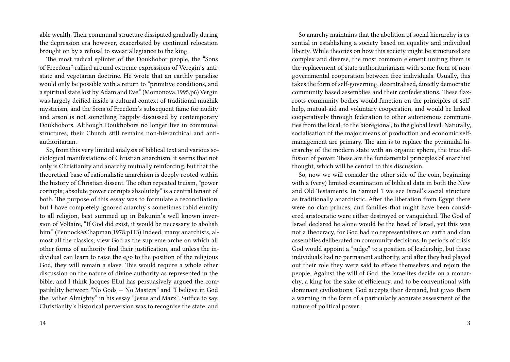able wealth. Their communal structure dissipated gradually during the depression era however, exacerbated by continual relocation brought on by a refusal to swear allegiance to the king.

The most radical splinter of the Doukhobor people, the "Sons of Freedom" rallied around extreme expressions of Veregin's antistate and vegetarian doctrine. He wrote that an earthly paradise would only be possible with a return to "primitive conditions, and a spiritual state lost by Adam and Eve." (Momonova,1995,p6) Vergin was largely deified inside a cultural context of traditional muzhik mysticism, and the Sons of Freedom's subsequent fame for nudity and arson is not something happily discussed by contemporary Doukhobors. Although Doukhobors no longer live in communal structures, their Church still remains non-hierarchical and antiauthoritarian.

So, from this very limited analysis of biblical text and various sociological manifestations of Christian anarchism, it seems that not only is Christianity and anarchy mutually reinforcing, but that the theoretical base of rationalistic anarchism is deeply rooted within the history of Christian dissent. The often repeated truism, "power corrupts; absolute power corrupts absolutely" is a central tenant of both. The purpose of this essay was to formulate a reconciliation, but I have completely ignored anarchy's sometimes rabid enmity to all religion, best summed up in Bakunin's well known inversion of Voltaire, "If God did exist, it would be necessary to abolish him." (Pennock&Chapman,1978,p113) Indeed, many anarchists, almost all the classics, view God as the supreme arche on which all other forms of authority find their justification, and unless the individual can learn to raise the ego to the position of the religious God, they will remain a slave. This would require a whole other discussion on the nature of divine authority as represented in the bible, and I think Jacques Ellul has persuasively argued the compatibility between "No Gods — No Masters" and "I believe in God the Father Almighty" in his essay "Jesus and Marx". Suffice to say, Christianity's historical perversion was to recognise the state, and

14

So anarchy maintains that the abolition of social hierarchy is essential in establishing a society based on equality and individual liberty. While theories on how this society might be structured are complex and diverse, the most common element uniting them is the replacement of state authoritarianism with some form of nongovernmental cooperation between free individuals. Usually, this takes the form of self-governing, decentralised, directly democratic community based assemblies and their confederations. These flaxroots community bodies would function on the principles of selfhelp, mutual-aid and voluntary cooperation, and would be linked cooperatively through federation to other autonomous communities from the local, to the bioregional, to the global level. Naturally, socialisation of the major means of production and economic selfmanagement are primary. The aim is to replace the pyramidal hierarchy of the modern state with an organic sphere, the true diffusion of power. These are the fundamental principles of anarchist thought, which will be central to this discussion.

So, now we will consider the other side of the coin, beginning with a (very) limited examination of biblical data in both the New and Old Testaments. In Samuel 1 we see Israel's social structure as traditionally anarchistic. After the liberation from Egypt there were no clan princes, and families that might have been considered aristocratic were either destroyed or vanquished. The God of Israel declared he alone would be the head of Israel, yet this was not a theocracy, for God had no representatives on earth and clan assemblies deliberated on community decisions. In periods of crisis God would appoint a "judge" to a position of leadership, but these individuals had no permanent authority, and after they had played out their role they were said to efface themselves and rejoin the people. Against the will of God, the Israelites decide on a monarchy, a king for the sake of efficiency, and to be conventional with dominant civilisations. God accepts their demand, but gives them a warning in the form of a particularly accurate assessment of the nature of political power: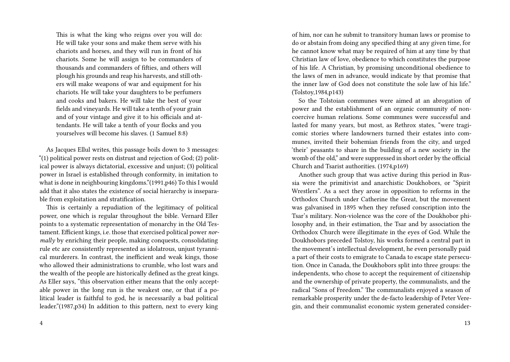This is what the king who reigns over you will do: He will take your sons and make them serve with his chariots and horses, and they will run in front of his chariots. Some he will assign to be commanders of thousands and commanders of fifties, and others will plough his grounds and reap his harvests, and still others will make weapons of war and equipment for his chariots. He will take your daughters to be perfumers and cooks and bakers. He will take the best of your fields and vineyards. He will take a tenth of your grain and of your vintage and give it to his officials and attendants. He will take a tenth of your flocks and you yourselves will become his slaves. (1 Samuel 8:8)

As Jacques Ellul writes, this passage boils down to 3 messages: "(1) political power rests on distrust and rejection of God; (2) political power is always dictatorial, excessive and unjust; (3) political power in Israel is established through conformity, in imitation to what is done in neighbouring kingdoms."(1991,p46) To this I would add that it also states the existence of social hierarchy is inseparable from exploitation and stratification.

This is certainly a repudiation of the legitimacy of political power, one which is regular throughout the bible. Vernard Eller points to a systematic representation of monarchy in the Old Testament. Efficient kings, i.e. those that exercised political power *normally* by enriching their people, making conquests, consolidating rule etc are consistently represented as idolatrous, unjust tyrannical murderers. In contrast, the inefficient and weak kings, those who allowed their administrations to crumble, who lost wars and the wealth of the people are historically defined as the great kings. As Eller says, "this observation either means that the only acceptable power in the long run is the weakest one, or that if a political leader is faithful to god, he is necessarily a bad political leader."(1987,p34) In addition to this pattern, next to every king

of him, nor can he submit to transitory human laws or promise to do or abstain from doing any specified thing at any given time, for he cannot know what may be required of him at any time by that Christian law of love, obedience to which constitutes the purpose of his life. A Christian, by promising unconditional obedience to the laws of men in advance, would indicate by that promise that the inner law of God does not constitute the sole law of his life." (Tolstoy,1984,p143)

So the Tolstoian communes were aimed at an abrogation of power and the establishment of an organic community of noncoercive human relations. Some communes were successful and lasted for many years, but most, as Rethrox states, "were tragicomic stories where landowners turned their estates into communes, invited their bohemian friends from the city, and urged 'their' peasants to share in the building of a new society in the womb of the old," and were suppressed in short order by the official Church and Tsarist authorities. (1974,p169)

Another such group that was active during this period in Russia were the primitivist and anarchistic Doukhobors, or "Spirit Wrestlers". As a sect they arose in opposition to reforms in the Orthodox Church under Catherine the Great, but the movement was galvanised in 1895 when they refused conscription into the Tsar's military. Non-violence was the core of the Doukhobor philosophy and, in their estimation, the Tsar and by association the Orthodox Church were illegitimate in the eyes of God. While the Doukhobors preceded Tolstoy, his works formed a central part in the movement's intellectual development, he even personally paid a part of their costs to emigrate to Canada to escape state persecution. Once in Canada, the Doukhobors split into three groups: the independents, who chose to accept the requirement of citizenship and the ownership of private property, the communalists, and the radical "Sons of Freedom." The communalists enjoyed a season of remarkable prosperity under the de-facto leadership of Peter Veregin, and their communalist economic system generated consider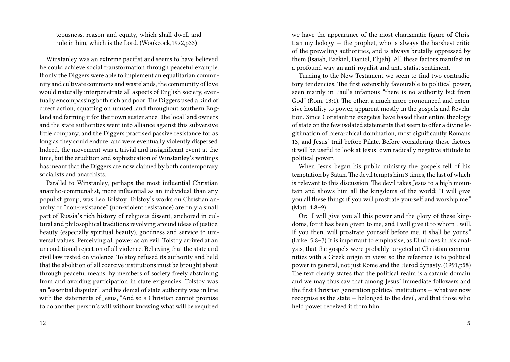teousness, reason and equity, which shall dwell and rule in him, which is the Lord. (Wookcock,1972,p33)

Winstanley was an extreme pacifist and seems to have believed he could achieve social transformation through peaceful example. If only the Diggers were able to implement an equalitarian community and cultivate commons and wastelands, the community of love would naturally interpenetrate all aspects of English society, eventually encompassing both rich and poor. The Diggers used a kind of direct action, squatting on unused land throughout southern England and farming it for their own sustenance. The local land owners and the state authorities went into alliance against this subversive little company, and the Diggers practised passive resistance for as long as they could endure, and were eventually violently dispersed. Indeed, the movement was a trivial and insignificant event at the time, but the erudition and sophistication of Winstanley's writings has meant that the Diggers are now claimed by both contemporary socialists and anarchists.

Parallel to Winstanley, perhaps the most influential Christian anarcho-communalist, more influential as an individual than any populist group, was Leo Tolstoy. Tolstoy's works on Christian anarchy or "non-resistance" (non-violent resistance) are only a small part of Russia's rich history of religious dissent, anchored in cultural and philosophical traditions revolving around ideas of justice, beauty (especially spiritual beauty), goodness and service to universal values. Perceiving all power as an evil, Tolstoy arrived at an unconditional rejection of all violence. Believing that the state and civil law rested on violence, Tolstoy refused its authority and held that the abolition of all coercive institutions must be brought about through peaceful means, by members of society freely abstaining from and avoiding participation in state exigencies. Tolstoy was an "essential disputer", and his denial of state authority was in line with the statements of Jesus, "And so a Christian cannot promise to do another person's will without knowing what will be required

we have the appearance of the most charismatic figure of Christian mythology  $-$  the prophet, who is always the harshest critic of the prevailing authorities, and is always brutally oppressed by them (Isaiah, Ezekiel, Daniel, Elijah). All these factors manifest in a profound way an anti-royalist and anti-statist sentiment.

Turning to the New Testament we seem to find two contradictory tendencies. The first ostensibly favourable to political power, seen mainly in Paul's infamous "there is no authority but from God" (Rom. 13:1). The other, a much more pronounced and extensive hostility to power, apparent mostly in the gospels and Revelation. Since Constantine exegetes have based their entire theology of state on the few isolated statements that seem to offer a divine legitimation of hierarchical domination, most significantly Romans 13, and Jesus' trail before Pilate. Before considering these factors it will be useful to look at Jesus' own radically negative attitude to political power.

When Jesus began his public ministry the gospels tell of his temptation by Satan. The devil tempts him 3 times, the last of which is relevant to this discussion. The devil takes Jesus to a high mountain and shows him all the kingdoms of the world: "I will give you all these things if you will prostrate yourself and worship me." (Matt. 4:8–9)

Or: "I will give you all this power and the glory of these kingdoms, for it has been given to me, and I will give it to whom I will. If you then, will prostrate yourself before me, it shall be yours." (Luke. 5:8–7) It is important to emphasise, as Ellul does in his analysis, that the gospels were probably targeted at Christian communities with a Greek origin in view, so the reference is to political power in general, not just Rome and the Herod dynasty. (1991,p58) The text clearly states that the political realm is a satanic domain and we may thus say that among Jesus' immediate followers and the first Christian generation political institutions — what we now recognise as the state — belonged to the devil, and that those who held power received it from him.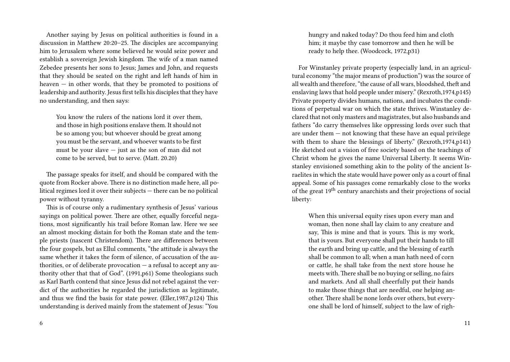Another saying by Jesus on political authorities is found in a discussion in Matthew 20:20–25. The disciples are accompanying him to Jerusalem where some believed he would seize power and establish a sovereign Jewish kingdom. The wife of a man named Zebedee presents her sons to Jesus; James and John, and requests that they should be seated on the right and left hands of him in heaven  $-$  in other words, that they be promoted to positions of leadership and authority. Jesus first tells his disciples that they have no understanding, and then says:

You know the rulers of the nations lord it over them and those in high positions enslave them. It should not be so among you; but whoever should be great among you must be the servant, and whoever wants to be first must be your slave — just as the son of man did not come to be served, but to serve. (Matt. 20.20)

The passage speaks for itself, and should be compared with the quote from Rocker above. There is no distinction made here, all political regimes lord it over their subjects — there can be no political power without tyranny.

This is of course only a rudimentary synthesis of Jesus' various sayings on political power. There are other, equally forceful negations, most significantly his trail before Roman law. Here we see an almost mocking distain for both the Roman state and the temple priests (nascent Christendom). There are differences between the four gospels, but as Ellul comments, "the attitude is always the same whether it takes the form of silence, of accusation of the authorities, or of deliberate provocation — a refusal to accept any authority other that that of God". (1991,p61) Some theologians such as Karl Barth contend that since Jesus did not rebel against the verdict of the authorities he regarded the jurisdiction as legitimate, and thus we find the basis for state power. (Eller,1987,p124) This understanding is derived mainly from the statement of Jesus: "You

6

hungry and naked today? Do thou feed him and cloth him; it maybe thy case tomorrow and then he will be ready to help thee. (Woodcock, 1972,p31)

For Winstanley private property (especially land, in an agricultural economy "the major means of production") was the source of all wealth and therefore, "the cause of all wars, bloodshed, theft and enslaving laws that hold people under misery." (Rexroth,1974,p145) Private property divides humans, nations, and incubates the conditions of perpetual war on which the state thrives. Winstanley declared that not only masters and magistrates, but also husbands and fathers "do carry themselves like oppressing lords over such that are under them  $-$  not knowing that these have an equal privilege with them to share the blessings of liberty." (Rexroth,1974,p141) He sketched out a vision of free society based on the teachings of Christ whom he gives the name Universal Liberty. It seems Winstanley envisioned something akin to the polity of the ancient Israelites in which the state would have power only as a court of final appeal. Some of his passages come remarkably close to the works of the great 19th century anarchists and their projections of social liberty:

When this universal equity rises upon every man and woman, then none shall lay claim to any creature and say, This is mine and that is yours. This is my work, that is yours. But everyone shall put their hands to till the earth and bring up cattle, and the blessing of earth shall be common to all; when a man hath need of corn or cattle, he shall take from the next store house he meets with.There shall be no buying or selling, no fairs and markets. And all shall cheerfully put their hands to make those things that are needful, one helping another. There shall be none lords over others, but everyone shall be lord of himself, subject to the law of righ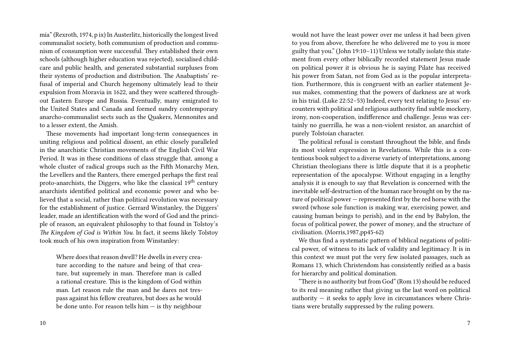mia" (Rexroth, 1974, p ix) In Austerlitz, historically the longest lived communalist society, both communism of production and communism of consumption were successful. They established their own schools (although higher education was rejected), socialised childcare and public health, and generated substantial surpluses from their systems of production and distribution. The Anabaptists' refusal of imperial and Church hegemony ultimately lead to their expulsion from Moravia in 1622, and they were scattered throughout Eastern Europe and Russia. Eventually, many emigrated to the United States and Canada and formed sundry contemporary anarcho-communalist sects such as the Quakers, Mennonites and to a lesser extent, the Amish.

These movements had important long-term consequences in uniting religious and political dissent, an ethic closely paralleled in the anarchistic Christian movements of the English Civil War Period. It was in these conditions of class struggle that, among a whole cluster of radical groups such as the Fifth Monarchy Men, the Levellers and the Ranters, there emerged perhaps the first real proto-anarchists, the Diggers, who like the classical  $19<sup>th</sup>$  century anarchists identified political and economic power and who believed that a social, rather than political revolution was necessary for the establishment of justice. Gerrard Winstanley, the Diggers' leader, made an identification with the word of God and the principle of reason, an equivalent philosophy to that found in Tolstoy's *The Kingdom of God is Within You*. In fact, it seems likely Tolstoy took much of his own inspiration from Winstanley:

Where does that reason dwell? He dwells in every creature according to the nature and being of that creature, but supremely in man. Therefore man is called a rational creature. This is the kingdom of God within man. Let reason rule the man and he dares not trespass against his fellow creatures, but does as he would be done unto. For reason tells him — is thy neighbour

to you from above, therefore he who delivered me to you is more guilty that you." (John 19:10–11) Unless we totally isolate this statement from every other biblically recorded statement Jesus made on political power it is obvious he is saying Pilate has received his power from Satan, not from God as is the popular interpretation. Furthermore, this is congruent with an earlier statement Jesus makes, commenting that the powers of darkness are at work in his trial. (Luke 22:52–53) Indeed, every text relating to Jesus' encounters with political and religious authority find subtle mockery, irony, non-cooperation, indifference and challenge. Jesus was certainly no guerrilla, he was a non-violent resistor, an anarchist of purely Tolstoian character.

would not have the least power over me unless it had been given

The political refusal is constant throughout the bible, and finds its most violent expression in Revelations. While this is a contentious book subject to a diverse variety of interpretations, among Christian theologians there is little dispute that it is a prophetic representation of the apocalypse. Without engaging in a lengthy analysis it is enough to say that Revelation is concerned with the inevitable self-destruction of the human race brought on by the nature of political power — represented first by the red horse with the sword (whose sole function is making war, exercising power, and causing human beings to perish), and in the end by Babylon, the focus of political power, the power of money, and the structure of civilisation. (Morris,1987,pp45-62)

We thus find a systematic pattern of biblical negations of political power, of witness to its lack of validity and legitimacy. It is in this context we must put the very few isolated passages, such as Romans 13, which Christendom has consistently reified as a basis for hierarchy and political domination.

"There is no authority but from God" (Rom 13) should be reduced to its real meaning rather that giving us the last word on political authority  $-$  it seeks to apply love in circumstances where Christians were brutally suppressed by the ruling powers.